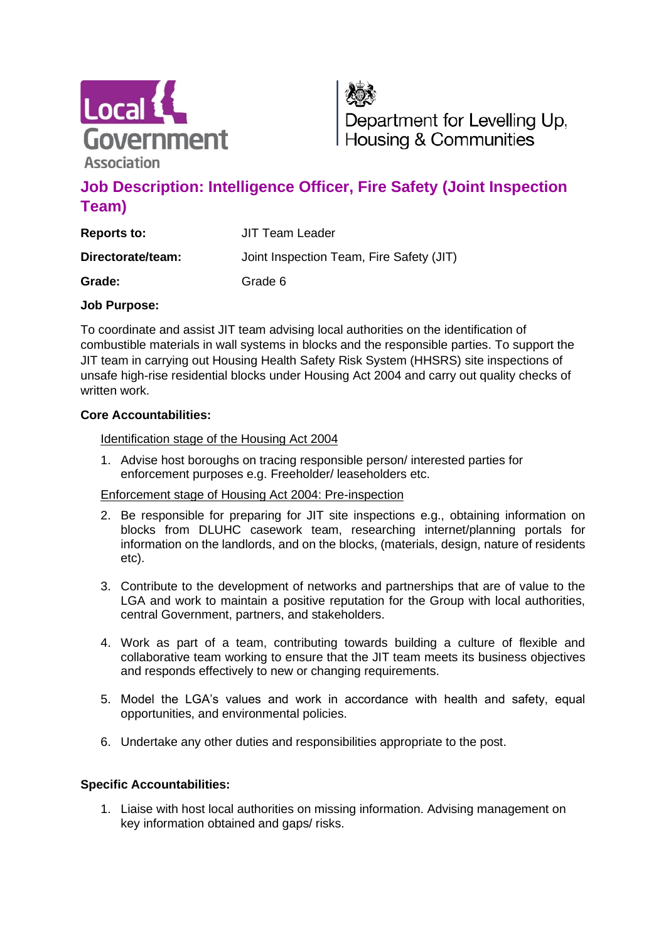

Department for Levelling Up, Housing & Communities

# **Job Description: Intelligence Officer, Fire Safety (Joint Inspection Team)**

| <b>Reports to:</b> | JIT Team Leader                          |
|--------------------|------------------------------------------|
| Directorate/team:  | Joint Inspection Team, Fire Safety (JIT) |
| Grade:             | Grade 6                                  |

### **Job Purpose:**

To coordinate and assist JIT team advising local authorities on the identification of combustible materials in wall systems in blocks and the responsible parties. To support the JIT team in carrying out Housing Health Safety Risk System (HHSRS) site inspections of unsafe high-rise residential blocks under Housing Act 2004 and carry out quality checks of written work.

## **Core Accountabilities:**

### Identification stage of the Housing Act 2004

1. Advise host boroughs on tracing responsible person/ interested parties for enforcement purposes e.g. Freeholder/ leaseholders etc.

### Enforcement stage of Housing Act 2004: Pre-inspection

- 2. Be responsible for preparing for JIT site inspections e.g., obtaining information on blocks from DLUHC casework team, researching internet/planning portals for information on the landlords, and on the blocks, (materials, design, nature of residents etc).
- 3. Contribute to the development of networks and partnerships that are of value to the LGA and work to maintain a positive reputation for the Group with local authorities, central Government, partners, and stakeholders.
- 4. Work as part of a team, contributing towards building a culture of flexible and collaborative team working to ensure that the JIT team meets its business objectives and responds effectively to new or changing requirements.
- 5. Model the LGA's values and work in accordance with health and safety, equal opportunities, and environmental policies.
- 6. Undertake any other duties and responsibilities appropriate to the post.

### **Specific Accountabilities:**

1. Liaise with host local authorities on missing information. Advising management on key information obtained and gaps/ risks.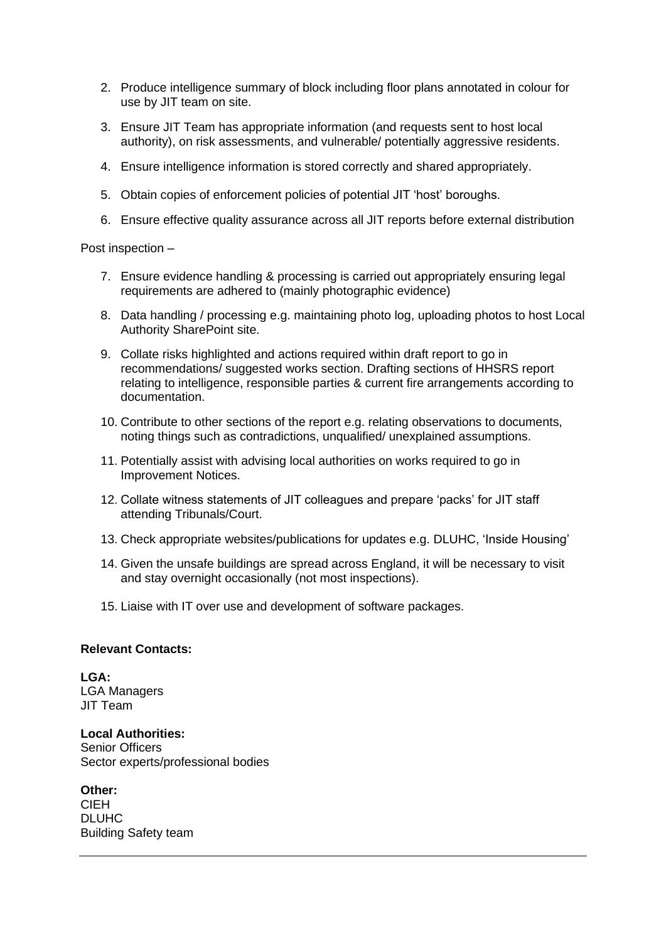- 2. Produce intelligence summary of block including floor plans annotated in colour for use by JIT team on site.
- 3. Ensure JIT Team has appropriate information (and requests sent to host local authority), on risk assessments, and vulnerable/ potentially aggressive residents.
- 4. Ensure intelligence information is stored correctly and shared appropriately.
- 5. Obtain copies of enforcement policies of potential JIT 'host' boroughs.
- 6. Ensure effective quality assurance across all JIT reports before external distribution

#### Post inspection –

- 7. Ensure evidence handling & processing is carried out appropriately ensuring legal requirements are adhered to (mainly photographic evidence)
- 8. Data handling / processing e.g. maintaining photo log, uploading photos to host Local Authority SharePoint site.
- 9. Collate risks highlighted and actions required within draft report to go in recommendations/ suggested works section. Drafting sections of HHSRS report relating to intelligence, responsible parties & current fire arrangements according to documentation.
- 10. Contribute to other sections of the report e.g. relating observations to documents, noting things such as contradictions, unqualified/ unexplained assumptions.
- 11. Potentially assist with advising local authorities on works required to go in Improvement Notices.
- 12. Collate witness statements of JIT colleagues and prepare 'packs' for JIT staff attending Tribunals/Court.
- 13. Check appropriate websites/publications for updates e.g. DLUHC, 'Inside Housing'
- 14. Given the unsafe buildings are spread across England, it will be necessary to visit and stay overnight occasionally (not most inspections).
- 15. Liaise with IT over use and development of software packages.

#### **Relevant Contacts:**

**LGA:** LGA Managers JIT Team

**Local Authorities:** Senior Officers Sector experts/professional bodies

**Other:** CIEH

DLUHC Building Safety team